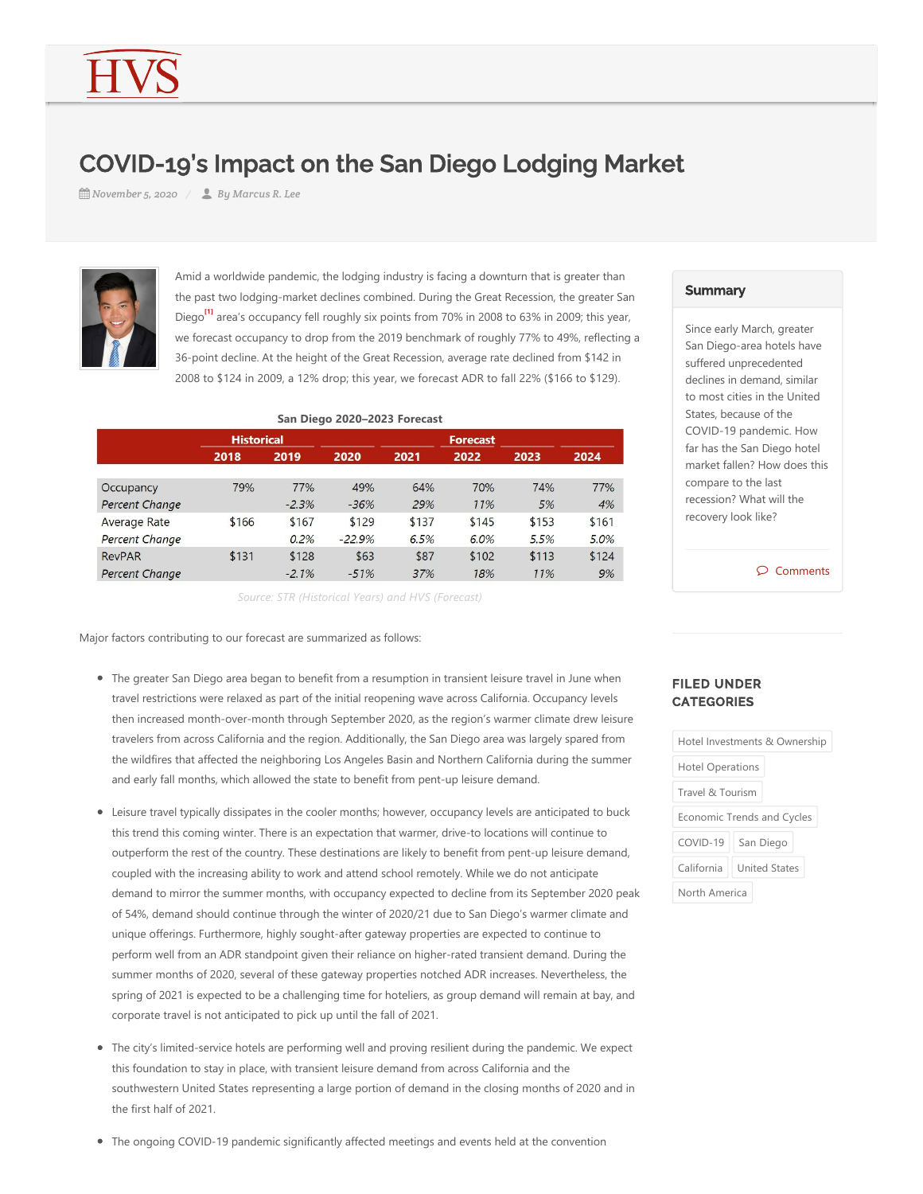## COVID-19's Impact on the San Diego Lodging Market

*November 5, 2020 By Marcus R. Lee*



<span id="page-0-0"></span>Amid a worldwide pandemic, the lodging industry is facing a downturn that is greater than the past two lodging-market declines combined. During the Great Recession, the greater San Diego<sup>t1</sup>l area's occupancy fell roughly six points from 70% in 2008 to 63% in 2009; this year, we forecast occupancy to drop from the 2019 benchmark of roughly 77% to 49%, reflecting a 36‐point decline. At the height of the Great Recession, average rate declined from \$142 in 2008 to \$124 in 2009, a 12% drop; this year, we forecast ADR to fall 22% (\$166 to \$129).

| San Diego 2020-2023 Forecast |                   |         |                 |       |       |       |       |
|------------------------------|-------------------|---------|-----------------|-------|-------|-------|-------|
|                              | <b>Historical</b> |         | <b>Forecast</b> |       |       |       |       |
|                              | 2018              | 2019    | 2020            | 2021  | 2022  | 2023  | 2024  |
|                              |                   |         |                 |       |       |       |       |
| Occupancy                    | 79%               | 77%     | 49%             | 64%   | 70%   | 74%   | 77%   |
| Percent Change               |                   | $-2.3%$ | $-36%$          | 29%   | 11%   | 5%    | 4%    |
| <b>Average Rate</b>          | \$166             | \$167   | \$129           | \$137 | \$145 | \$153 | \$161 |
| Percent Change               |                   | 0.2%    | $-22.9%$        | 6.5%  | 6.0%  | 5.5%  | 5.0%  |
| <b>RevPAR</b>                | \$131             | \$128   | \$63            | \$87  | \$102 | \$113 | \$124 |
| <b>Percent Change</b>        |                   | $-2.1%$ | $-51%$          | 37%   | 18%   | 11%   | 9%    |

*Source: STR (Historical Years) and HVS (Forecast)*

Major factors contributing to our forecast are summarized as follows:

- The greater San Diego area began to benefit from a resumption in transient leisure travel in June when travel restrictions were relaxed as part of the initial reopening wave across California. Occupancy levels then increased month-over-month through September 2020, as the region's warmer climate drew leisure travelers from across California and the region. Additionally, the San Diego area was largely spared from the wildfires that affected the neighboring Los Angeles Basin and Northern California during the summer and early fall months, which allowed the state to benefit from pent-up leisure demand.
- Leisure travel typically dissipates in the cooler months; however, occupancy levels are anticipated to buck this trend this coming winter. There is an expectation that warmer, drive‐to locations will continue to outperform the rest of the country. These destinations are likely to benefit from pent‐up leisure demand, coupled with the increasing ability to work and attend school remotely. While we do not anticipate demand to mirror the summer months, with occupancy expected to decline from its September 2020 peak of 54%, demand should continue through the winter of 2020/21 due to San Diego's warmer climate and unique offerings. Furthermore, highly sought‐after gateway properties are expected to continue to perform well from an ADR standpoint given their reliance on higher-rated transient demand. During the summer months of 2020, several of these gateway properties notched ADR increases. Nevertheless, the spring of 2021 is expected to be a challenging time for hoteliers, as group demand will remain at bay, and corporate travel is not anticipated to pick up until the fall of 2021.
- The city's limited-service hotels are performing well and proving resilient during the pandemic. We expect this foundation to stay in place, with transient leisure demand from across California and the southwestern United States representing a large portion of demand in the closing months of 2020 and in the first half of 2021.
- The ongoing COVID-19 pandemic significantly affected meetings and events held at the convention

## **Summary**

Since early March, greater San Diego‐area hotels have suffered unprecedented declines in demand, similar to most cities in the United States, because of the COVID‐19 pandemic. How far has the San Diego hotel market fallen? How does this compare to the last recession? What will the recovery look like?

Comments

## FILED UNDER **CATEGORIES**

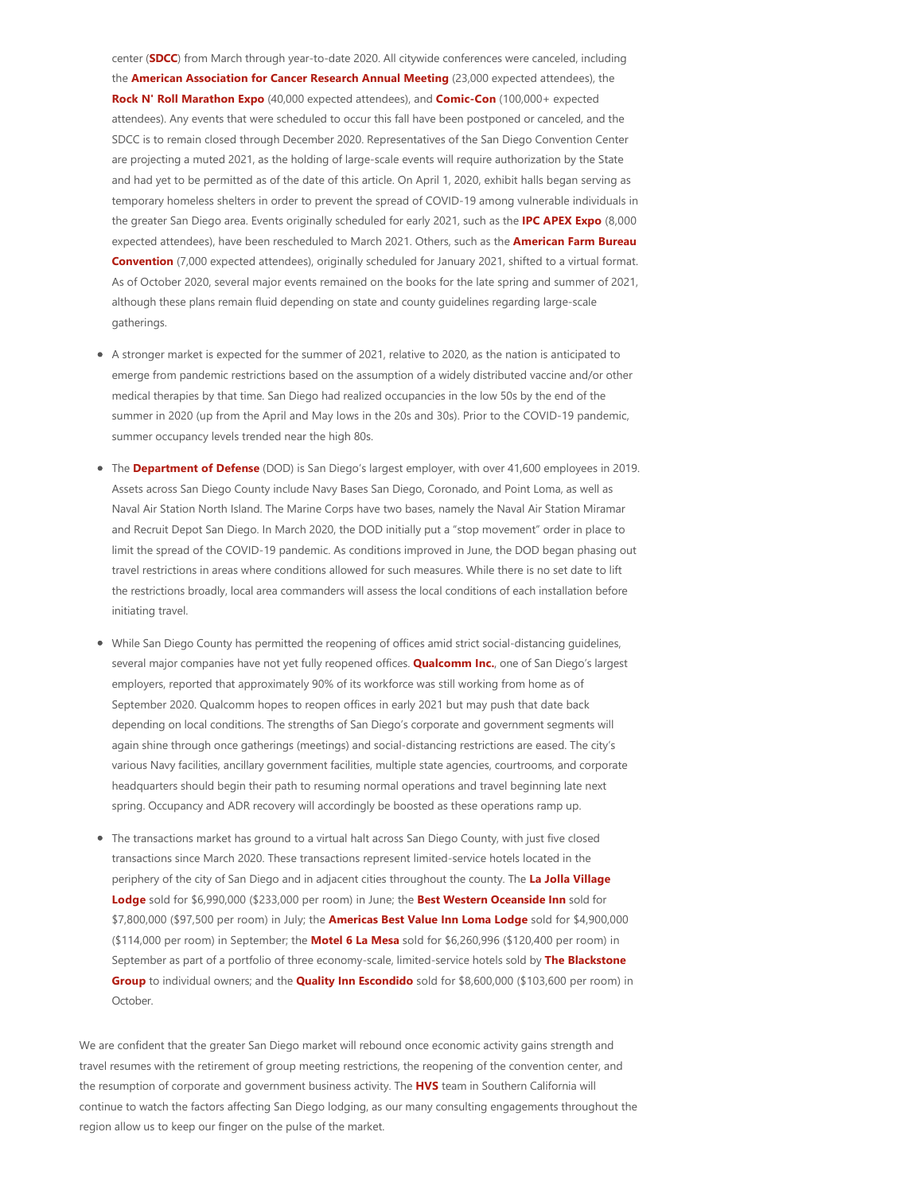center (SDCC) from March through year-to-date 2020. All citywide conferences were canceled, including the **American Association for Cancer Research Annual Meeting** (23,000 expected attendees), the **Rock N' Roll Marathon Expo** (40,000 expected attendees), and **Comic-Con** (100,000+ expected attendees). Any events that were scheduled to occur this fall have been postponed or canceled, and the SDCC is to remain closed through December 2020. Representatives of the San Diego Convention Center are projecting a muted 2021, as the holding of large-scale events will require authorization by the State and had yet to be permitted as of the date of this article. On April 1, 2020, exhibit halls began serving as temporary homeless shelters in order to prevent the spread of COVID‐19 among vulnerable individuals in the greater San Diego area. Events originally scheduled for early 2021, such as the **IPC APEX Expo** (8,000 expected attendees), have been rescheduled to March 2021. Others, such as the **American Farm Bureau Convention** (7,000 expected attendees), originally scheduled for January 2021, shifted to a virtual format. As of October 2020, several major events remained on the books for the late spring and summer of 2021, although these plans remain fluid depending on state and county guidelines regarding large‐scale gatherings.

- A stronger market is expected for the summer of 2021, relative to 2020, as the nation is anticipated to emerge from pandemic restrictions based on the assumption of a widely distributed vaccine and/or other medical therapies by that time. San Diego had realized occupancies in the low 50s by the end of the summer in 2020 (up from the April and May lows in the 20s and 30s). Prior to the COVID-19 pandemic, summer occupancy levels trended near the high 80s.
- The **Department of Defense** (DOD) is San Diego's largest employer, with over 41,600 employees in 2019. Assets across San Diego County include Navy Bases San Diego, Coronado, and Point Loma, as well as Naval Air Station North Island. The Marine Corps have two bases, namely the Naval Air Station Miramar and Recruit Depot San Diego. In March 2020, the DOD initially put a "stop movement" order in place to limit the spread of the COVID‐19 pandemic. As conditions improved in June, the DOD began phasing out travel restrictions in areas where conditions allowed for such measures. While there is no set date to lift the restrictions broadly, local area commanders will assess the local conditions of each installation before initiating travel.
- While San Diego County has permitted the reopening of offices amid strict social-distancing quidelines, several major companies have not yet fully reopened offices. **Qualcomm Inc.**, one of San Diego's largest employers, reported that approximately 90% of its workforce was still working from home as of September 2020. Qualcomm hopes to reopen offices in early 2021 but may push that date back depending on local conditions. The strengths of San Diego's corporate and government segments will again shine through once gatherings (meetings) and social-distancing restrictions are eased. The city's various Navy facilities, ancillary government facilities, multiple state agencies, courtrooms, and corporate headquarters should begin their path to resuming normal operations and travel beginning late next spring. Occupancy and ADR recovery will accordingly be boosted as these operations ramp up.
- The transactions market has ground to a virtual halt across San Diego County, with just five closed transactions since March 2020. These transactions represent limited‐service hotels located in the periphery of the city of San Diego and in adjacent cities throughout the county. The **La Jolla Village Lodge** sold for \$6,990,000 (\$233,000 per room) in June; the **Best Western Oceanside Inn** sold for \$7,800,000 (\$97,500 per room) in July; the **Americas Best Value Inn Loma Lodge** sold for \$4,900,000  $($114,000$  per room) in September; the **Motel 6 La Mesa** sold for  $$6,260,996 ($120,400$  per room) in September as part of a portfolio of three economy‐scale, limited‐service hotels sold by **The Blackstone Group** to individual owners; and the **Quality Inn Escondido** sold for \$8,600,000 (\$103,600 per room) in **October**

We are confident that the greater San Diego market will rebound once economic activity gains strength and travel resumes with the retirement of group meeting restrictions, the reopening of the convention center, and the resumption of corporate and government business activity. The **HVS** team in Southern California will continue to watch the factors affecting San Diego lodging, as our many consulting engagements throughout the region allow us to keep our finger on the pulse of the market.